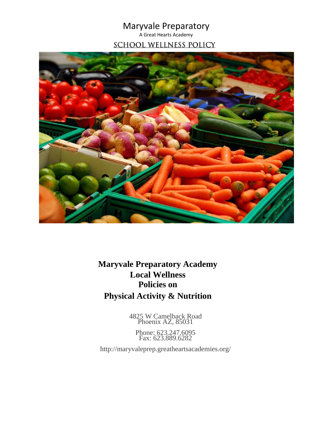Maryvale Preparatory A Great Hearts Academy **SCHOOL WELLNESS POLICY** 



**Maryvale Preparatory Academy Local Wellness Policies on Physical Activity & Nutrition**

> 4825 W Camelback Road Phoenix AZ, 85031

Phone: 623.247.6095 Fax: 623.889.6282

http://maryvaleprep.greatheartsacademies.org/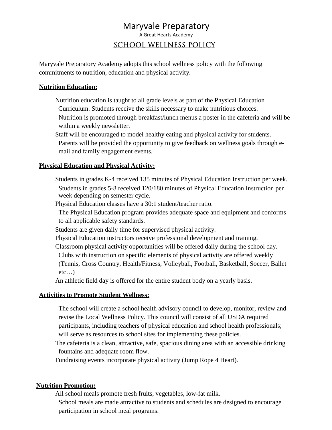# Maryvale Preparatory

A Great Hearts Academy

## **SCHOOL WELLNESS POLICY**

Maryvale Preparatory Academy adopts this school wellness policy with the following commitments to nutrition, education and physical activity.

### **Nutrition Education:**

 Nutrition education is taught to all grade levels as part of the Physical Education Curriculum. Students receive the skills necessary to make nutritious choices. Nutrition is promoted through breakfast/lunch menus a poster in the cafeteria and will be within a weekly newsletter.

 Staff will be encouraged to model healthy eating and physical activity for students. Parents will be provided the opportunity to give feedback on wellness goals through email and family engagement events.

### **Physical Education and Physical Activity:**

 Students in grades K-4 received 135 minutes of Physical Education Instruction per week. Students in grades 5-8 received 120/180 minutes of Physical Education Instruction per week depending on semester cycle.

Physical Education classes have a 30:1 student/teacher ratio.

The Physical Education program provides adequate space and equipment and conforms to all applicable safety standards.

Students are given daily time for supervised physical activity.

Physical Education instructors receive professional development and training.

 Classroom physical activity opportunities will be offered daily during the school day. Clubs with instruction on specific elements of physical activity are offered weekly

(Tennis, Cross Country, Health/Fitness, Volleyball, Football, Basketball, Soccer, Ballet  $etc...$ )

An athletic field day is offered for the entire student body on a yearly basis.

### **Activities to Promote Student Wellness:**

The school will create a school health advisory council to develop, monitor, review and revise the Local Wellness Policy. This council will consist of all USDA required participants, including teachers of physical education and school health professionals; will serve as resources to school sites for implementing these policies.

 The cafeteria is a clean, attractive, safe, spacious dining area with an accessible drinking fountains and adequate room flow.

Fundraising events incorporate physical activity (Jump Rope 4 Heart).

### **Nutrition Promotion:**

All school meals promote fresh fruits, vegetables, low-fat milk.

School meals are made attractive to students and schedules are designed to encourage participation in school meal programs.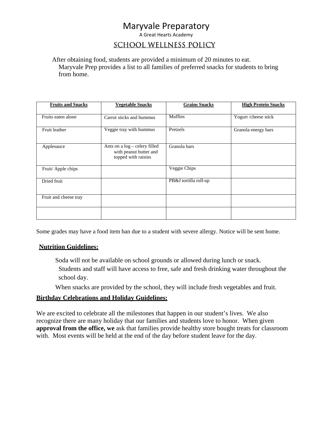# Maryvale Preparatory

A Great Hearts Academy

## **SCHOOL WELLNESS POLICY**

 After obtaining food, students are provided a minimum of 20 minutes to eat. Maryvale Prep provides a list to all families of preferred snacks for students to bring from home.

| <b>Fruits and Snacks</b> | <b>Vegetable Snacks</b>                                                        | <b>Grains Snacks</b>  | <b>High Protein Snacks</b> |
|--------------------------|--------------------------------------------------------------------------------|-----------------------|----------------------------|
| Fruits eaten alone       | Carrot sticks and hummus                                                       | <b>Muffins</b>        | Yogurt / cheese stick      |
| Fruit leather            | Veggie tray with hummus                                                        | Pretzels              | Granola energy bars        |
| Applesauce               | Ants on a log - celery filled<br>with peanut butter and<br>topped with raisins | Granola bars          |                            |
| Fruit/Apple chips        |                                                                                | Veggie Chips          |                            |
| Dried fruit              |                                                                                | PB&J tortilla roll-up |                            |
| Fruit and cheese tray    |                                                                                |                       |                            |
|                          |                                                                                |                       |                            |

Some grades may have a food item ban due to a student with severe allergy. Notice will be sent home.

### **Nutrition Guidelines:**

 Soda will not be available on school grounds or allowed during lunch or snack. Students and staff will have access to free, safe and fresh drinking water throughout the school day.

When snacks are provided by the school, they will include fresh vegetables and fruit.

### **Birthday Celebrations and Holiday Guidelines:**

We are excited to celebrate all the milestones that happen in our student's lives. We also recognize there are many holiday that our families and students love to honor. When given **approval from the office, we** ask that families provide healthy store bought treats for classroom with. Most events will be held at the end of the day before student leave for the day.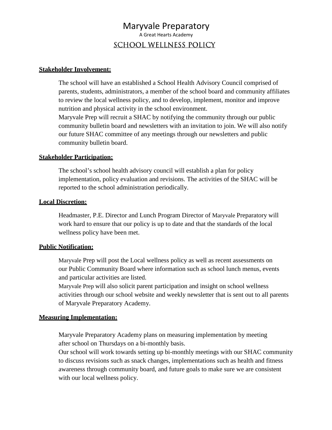## Maryvale Preparatory A Great Hearts Academy **SCHOOL WELLNESS POLICY**

### **Stakeholder Involvement:**

The school will have an established a School Health Advisory Council comprised of parents, students, administrators, a member of the school board and community affiliates to review the local wellness policy, and to develop, implement, monitor and improve nutrition and physical activity in the school environment. Maryvale Prep will recruit a SHAC by notifying the community through our public community bulletin board and newsletters with an invitation to join. We will also notify our future SHAC committee of any meetings through our newsletters and public community bulletin board.

### **Stakeholder Participation:**

The school's school health advisory council will establish a plan for policy implementation, policy evaluation and revisions. The activities of the SHAC will be reported to the school administration periodically.

### **Local Discretion:**

Headmaster, P.E. Director and Lunch Program Director of Maryvale Preparatory will work hard to ensure that our policy is up to date and that the standards of the local wellness policy have been met.

### **Public Notification:**

Maryvale Prep will post the Local wellness policy as well as recent assessments on our Public Community Board where information such as school lunch menus, events and particular activities are listed.

Maryvale Prep will also solicit parent participation and insight on school wellness activities through our school website and weekly newsletter that is sent out to all parents of Maryvale Preparatory Academy.

### **Measuring Implementation:**

Maryvale Preparatory Academy plans on measuring implementation by meeting after school on Thursdays on a bi-monthly basis.

Our school will work towards setting up bi-monthly meetings with our SHAC community to discuss revisions such as snack changes, implementations such as health and fitness awareness through community board, and future goals to make sure we are consistent with our local wellness policy.